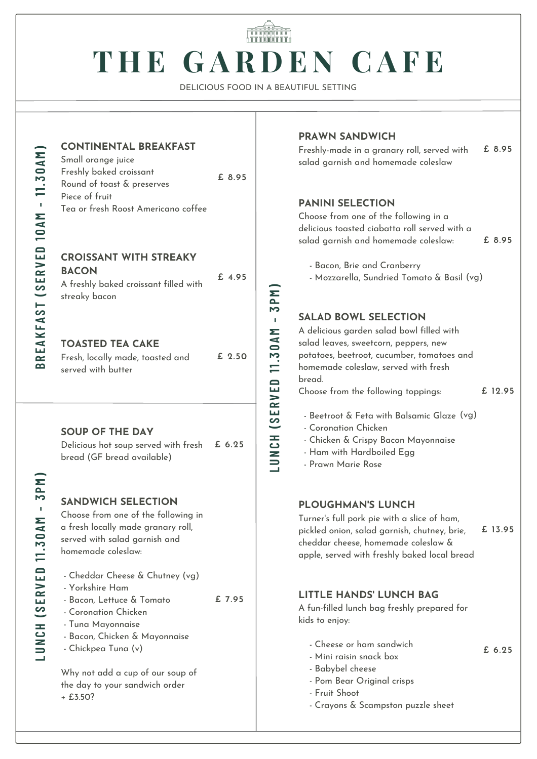# **T H E G A R D E N C A F E**

DELICIOUS FOOD IN A BEAUTIFUL SETTING

**B**

**CONTINENTAL BREAKFAST**

Small orange juice Freshly baked croissant Round of toast & preserves Piece of fruit Tea or fresh Roost Americano coffee **£ 8.95**

#### **CROISSANT WITH STREAKY BACON** A freshly baked croissant filled with

#### **TOASTED TEA CAKE**

streaky bacon

| Fresh, locally made, toasted and | £ 2.50 |
|----------------------------------|--------|
| served with butter               |        |

#### **SOUP OF THE DAY**

Delicious hot soup served with fresh bread (GF bread available) **£ 6.25**

#### **SANDWICH SELECTION**

Choose from one of the following in a fresh locally made granary roll, served with salad garnish and homemade coleslaw:

- Cheddar Cheese & Chutney (vg)
- Yorkshire Ham
- Bacon, Lettuce & Tomato **£ 7.95**
- Coronation Chicken
- Tuna Mayonnaise
- Bacon, Chicken & Mayonnaise
- Chickpea Tuna (v)

Why not add a cup of our soup of the day to your sandwich order + £3.50?

#### **PRAWN SANDWICH**

Freshly-made in a granary roll, served with salad garnish and homemade coleslaw **£ 8.95**

#### **PANINI SELECTION**

Choose from one of the following in a delicious toasted ciabatta roll served with a salad garnish and homemade coleslaw: **£ 8.95**

- Bacon, Brie and Cranberry
- Mozzarella, Sundried Tomato & Basil (vg)

### **SALAD BOWL SELECTION**

A delicious garden salad bowl filled with salad leaves, sweetcorn, peppers, new potatoes, beetroot, cucumber, tomatoes and homemade coleslaw, served with fresh bread. Choose from the following toppings:

**£ 12.95**

- Beetroot & Feta with Balsamic Glaze (vg)
- Coronation Chicken
- Chicken & Crispy Bacon Mayonnaise
- Ham with Hardboiled Egg
- Prawn Marie Rose

#### **PLOUGHMAN'S LUNCH**

Turner's full pork pie with a slice of ham, pickled onion, salad garnish, chutney, brie, cheddar cheese, homemade coleslaw & apple, served with freshly baked local bread

**£ 13.95**

**£ 6.25**

# **LITTLE HANDS' LUNCH BAG**

A fun-filled lunch bag freshly prepared for kids to enjoy:

- Cheese or ham sandwich
- Mini raisin snack box
- Babybel cheese
- Pom Bear Original crisps
- Fruit Shoot
- Crayons & Scampston puzzle sheet

**NCH ( S ERVED 11. 3 0AM - 3**

<u>p</u> **M)**

**LU**

**£ 4.95**

**CH ( S ERVED 11. 3 0AM - 3**

**PM)**

**LUN**